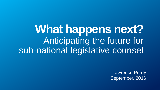**What happens next?** Anticipating the future for sub-national legislative counsel

> Lawrence Purdy September, 2016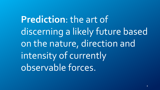**Prediction**: the art of discerning a likely future based on the nature, direction and intensity of currently observable forces.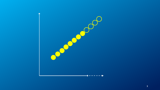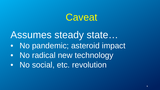

Assumes steady state… • No pandemic; asteroid impact • No radical new technology • No social, etc. revolution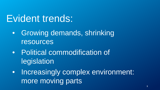## Evident trends:

- Growing demands, shrinking resources
- Political commodification of legislation
- Increasingly complex environment: more moving parts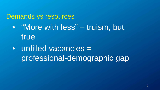### Demands vs resources

- "More with less" truism, but true
- unfilled vacancies = professional-demographic gap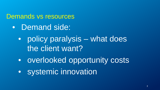#### Demands vs resources

- Demand side:
	- policy paralysis what does the client want?
	- overlooked opportunity costs
	- systemic innovation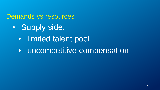#### Demands vs resources

- Supply side:
	- limited talent pool
	- uncompetitive compensation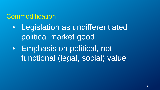- Legislation as undifferentiated political market good
- Emphasis on political, not functional (legal, social) value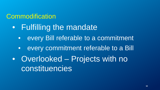- Fulfilling the mandate
	- every Bill referable to a commitment
	- every commitment referable to a Bill
- Overlooked Projects with no constituencies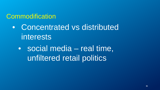- Concentrated vs distributed interests
	- social media real time, unfiltered retail politics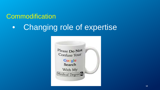### • Changing role of expertise

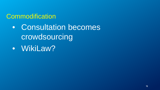- Consultation becomes crowdsourcing
- WikiLaw?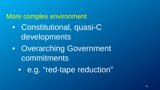More complex environment

- Constitutional, quasi-C developments
- Overarching Government **commitments** 
	- e.g. "red-tape reduction"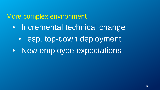### More complex environment

- Incremental technical change
	- esp. top-down deployment
- New employee expectations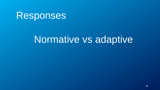

### Normative vs adaptive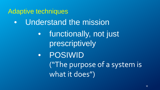Adaptive techniques

- Understand the mission
	- functionally, not just prescriptively
	- POSIWID ("The purpose of a system is what it does")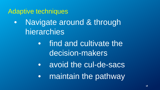Adaptive techniques

- Navigate around & through hierarchies
	- find and cultivate the decision-makers
	- avoid the cul-de-sacs
	- maintain the pathway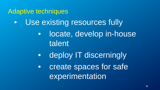Adaptive techniques

- Use existing resources fully
	- locate, develop in-house talent
	- deploy IT discerningly
	- create spaces for safe **experimentation**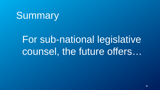

# For sub-national legislative counsel, the future offers…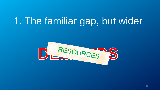# 1. The familiar gap, but wider

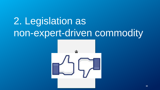# 2. Legislation as non-expert-driven commodity

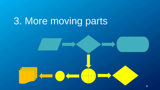# 3. More moving parts